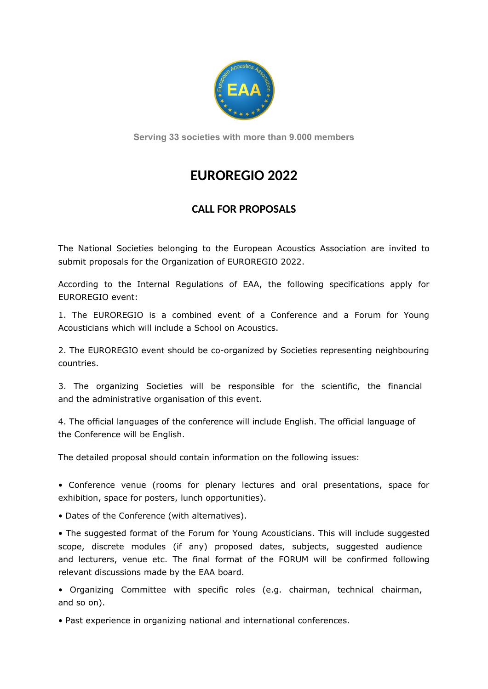

**Serving 33 societies with more than 9.000 members**

# **EUROREGIO 2022**

## **CALL FOR PROPOSALS**

The National Societies belonging to the European Acoustics Association are invited to submit proposals for the Organization of EUROREGIO 2022.

According to the Internal Regulations of EAA, the following specifications apply for EUROREGIO event:

1. The EUROREGIO is a combined event of a Conference and a Forum for Young Acousticians which will include a School on Acoustics.

2. The EUROREGIO event should be co-organized by Societies representing neighbouring countries.

3. The organizing Societies will be responsible for the scientific, the financial and the administrative organisation of this event.

4. The official languages of the conference will include English. The official language of the Conference will be English.

The detailed proposal should contain information on the following issues:

• Conference venue (rooms for plenary lectures and oral presentations, space for exhibition, space for posters, lunch opportunities).

• Dates of the Conference (with alternatives).

• The suggested format of the Forum for Young Acousticians. This will include suggested scope, discrete modules (if any) proposed dates, subjects, suggested audience and lecturers, venue etc. The final format of the FORUM will be confirmed following relevant discussions made by the EAA board.

• Organizing Committee with specific roles (e.g. chairman, technical chairman, and so on).

• Past experience in organizing national and international conferences.